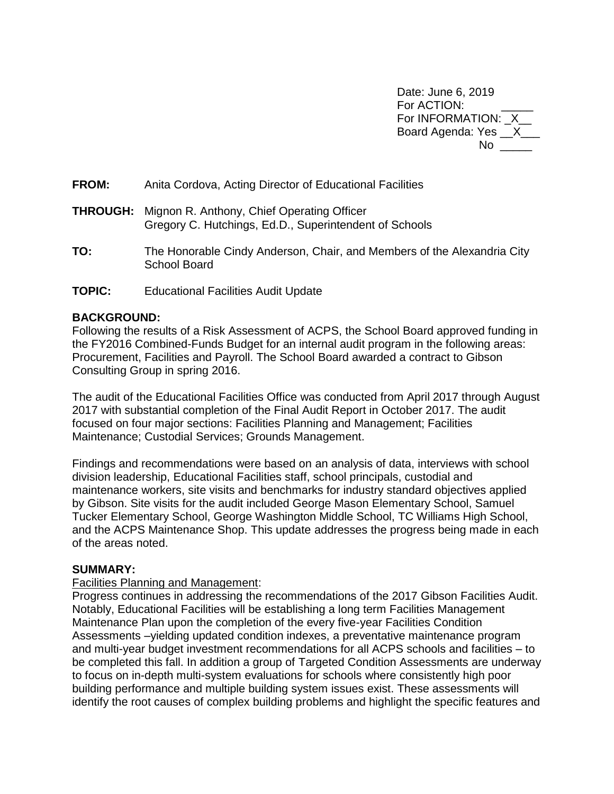Date: June 6, 2019 For ACTION: For INFORMATION: X Board Agenda: Yes \_\_X\_\_\_  $No$ 

**FROM:** Anita Cordova, Acting Director of Educational Facilities

- **THROUGH:** Mignon R. Anthony, Chief Operating Officer Gregory C. Hutchings, Ed.D., Superintendent of Schools
- **TO:** The Honorable Cindy Anderson, Chair, and Members of the Alexandria City School Board
- **TOPIC:** Educational Facilities Audit Update

### **BACKGROUND:**

Following the results of a Risk Assessment of ACPS, the School Board approved funding in the FY2016 Combined-Funds Budget for an internal audit program in the following areas: Procurement, Facilities and Payroll. The School Board awarded a contract to Gibson Consulting Group in spring 2016.

The audit of the Educational Facilities Office was conducted from April 2017 through August 2017 with substantial completion of the Final Audit Report in October 2017. The audit focused on four major sections: Facilities Planning and Management; Facilities Maintenance; Custodial Services; Grounds Management.

Findings and recommendations were based on an analysis of data, interviews with school division leadership, Educational Facilities staff, school principals, custodial and maintenance workers, site visits and benchmarks for industry standard objectives applied by Gibson. Site visits for the audit included George Mason Elementary School, Samuel Tucker Elementary School, George Washington Middle School, TC Williams High School, and the ACPS Maintenance Shop. This update addresses the progress being made in each of the areas noted.

## **SUMMARY:**

#### Facilities Planning and Management:

Progress continues in addressing the recommendations of the 2017 Gibson Facilities Audit. Notably, Educational Facilities will be establishing a long term Facilities Management Maintenance Plan upon the completion of the every five-year Facilities Condition Assessments –yielding updated condition indexes, a preventative maintenance program and multi-year budget investment recommendations for all ACPS schools and facilities – to be completed this fall. In addition a group of Targeted Condition Assessments are underway to focus on in-depth multi-system evaluations for schools where consistently high poor building performance and multiple building system issues exist. These assessments will identify the root causes of complex building problems and highlight the specific features and